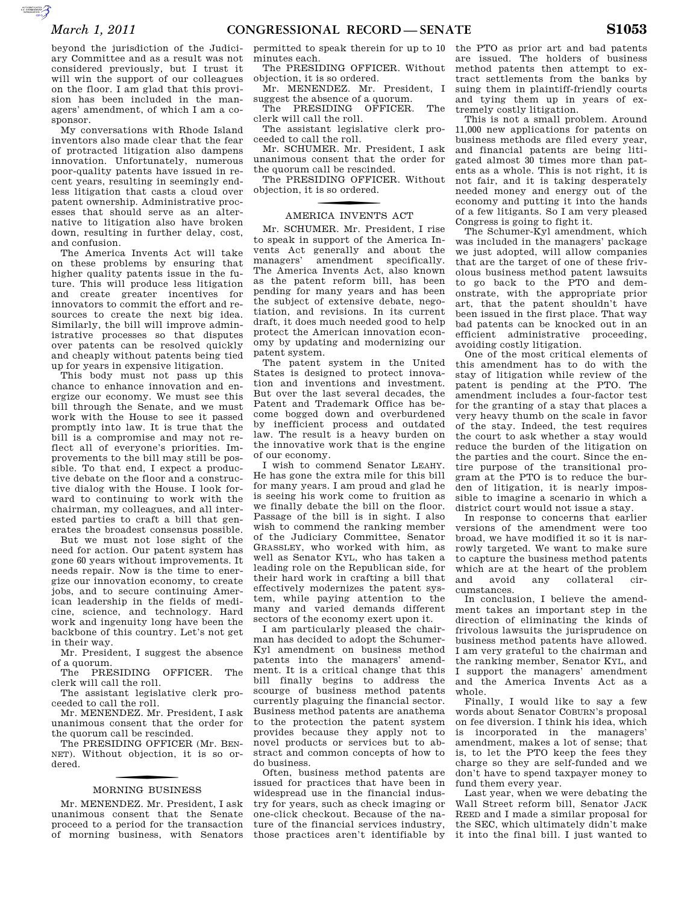$\overbrace{c}^{(n)}$ 

beyond the jurisdiction of the Judiciary Committee and as a result was not considered previously, but I trust it will win the support of our colleagues on the floor. I am glad that this provision has been included in the managers' amendment, of which I am a cosponsor.

My conversations with Rhode Island inventors also made clear that the fear of protracted litigation also dampens innovation. Unfortunately, numerous poor-quality patents have issued in recent years, resulting in seemingly endless litigation that casts a cloud over patent ownership. Administrative processes that should serve as an alternative to litigation also have broken down, resulting in further delay, cost, and confusion.

The America Invents Act will take on these problems by ensuring that higher quality patents issue in the future. This will produce less litigation and create greater incentives for innovators to commit the effort and resources to create the next big idea. Similarly, the bill will improve administrative processes so that disputes over patents can be resolved quickly and cheaply without patents being tied up for years in expensive litigation.

This body must not pass up this chance to enhance innovation and energize our economy. We must see this bill through the Senate, and we must work with the House to see it passed promptly into law. It is true that the bill is a compromise and may not reflect all of everyone's priorities. Improvements to the bill may still be possible. To that end, I expect a productive debate on the floor and a constructive dialog with the House. I look forward to continuing to work with the chairman, my colleagues, and all interested parties to craft a bill that generates the broadest consensus possible.

But we must not lose sight of the need for action. Our patent system has gone 60 years without improvements. It needs repair. Now is the time to energize our innovation economy, to create jobs, and to secure continuing American leadership in the fields of medicine, science, and technology. Hard work and ingenuity long have been the backbone of this country. Let's not get in their way.

Mr. President, I suggest the absence of a quorum.

The PRESIDING OFFICER. The clerk will call the roll.

The assistant legislative clerk proceeded to call the roll.

Mr. MENENDEZ. Mr. President, I ask unanimous consent that the order for the quorum call be rescinded.

The PRESIDING OFFICER (Mr. BEN-NET). Without objection, it is so ordered.

# f MORNING BUSINESS

Mr. MENENDEZ. Mr. President, I ask unanimous consent that the Senate proceed to a period for the transaction of morning business, with Senators

permitted to speak therein for up to 10 minutes each.

The PRESIDING OFFICER. Without objection, it is so ordered.

Mr. MENENDEZ. Mr. President, I suggest the absence of a quorum.

The PRESIDING OFFICER. The clerk will call the roll.

The assistant legislative clerk proceeded to call the roll.

Mr. SCHUMER. Mr. President, I ask unanimous consent that the order for the quorum call be rescinded.

The PRESIDING OFFICER. Without objection, it is so ordered.

# f AMERICA INVENTS ACT

Mr. SCHUMER. Mr. President, I rise to speak in support of the America Invents Act generally and about the managers' amendment specifically. The America Invents Act, also known as the patent reform bill, has been pending for many years and has been the subject of extensive debate, negotiation, and revisions. In its current draft, it does much needed good to help protect the American innovation economy by updating and modernizing our patent system.

The patent system in the United States is designed to protect innovation and inventions and investment. But over the last several decades, the Patent and Trademark Office has become bogged down and overburdened by inefficient process and outdated law. The result is a heavy burden on the innovative work that is the engine of our economy.

I wish to commend Senator LEAHY. He has gone the extra mile for this bill for many years. I am proud and glad he is seeing his work come to fruition as we finally debate the bill on the floor. Passage of the bill is in sight. I also wish to commend the ranking member of the Judiciary Committee, Senator GRASSLEY, who worked with him, as well as Senator KYL, who has taken a leading role on the Republican side, for their hard work in crafting a bill that effectively modernizes the patent system, while paying attention to the many and varied demands different sectors of the economy exert upon it.

I am particularly pleased the chairman has decided to adopt the Schumer-Kyl amendment on business method patents into the managers' amendment. It is a critical change that this bill finally begins to address the scourge of business method patents currently plaguing the financial sector. Business method patents are anathema to the protection the patent system provides because they apply not to novel products or services but to abstract and common concepts of how to do business.

Often, business method patents are issued for practices that have been in widespread use in the financial industry for years, such as check imaging or one-click checkout. Because of the nature of the financial services industry, those practices aren't identifiable by the PTO as prior art and bad patents are issued. The holders of business method patents then attempt to extract settlements from the banks by suing them in plaintiff-friendly courts and tying them up in years of extremely costly litigation.

This is not a small problem. Around 11,000 new applications for patents on business methods are filed every year, and financial patents are being litigated almost 30 times more than patents as a whole. This is not right, it is not fair, and it is taking desperately needed money and energy out of the economy and putting it into the hands of a few litigants. So I am very pleased Congress is going to fight it.

The Schumer-Kyl amendment, which was included in the managers' package we just adopted, will allow companies that are the target of one of these frivolous business method patent lawsuits to go back to the PTO and demonstrate, with the appropriate prior art, that the patent shouldn't have been issued in the first place. That way bad patents can be knocked out in an efficient administrative proceeding, avoiding costly litigation.

One of the most critical elements of this amendment has to do with the stay of litigation while review of the patent is pending at the PTO. The amendment includes a four-factor test for the granting of a stay that places a very heavy thumb on the scale in favor of the stay. Indeed, the test requires the court to ask whether a stay would reduce the burden of the litigation on the parties and the court. Since the entire purpose of the transitional program at the PTO is to reduce the burden of litigation, it is nearly impossible to imagine a scenario in which a district court would not issue a stay.

In response to concerns that earlier versions of the amendment were too broad, we have modified it so it is narrowly targeted. We want to make sure to capture the business method patents which are at the heart of the problem and avoid any collateral circumstances.

In conclusion, I believe the amendment takes an important step in the direction of eliminating the kinds of frivolous lawsuits the jurisprudence on business method patents have allowed. I am very grateful to the chairman and the ranking member, Senator KYL, and I support the managers' amendment and the America Invents Act as a whole.

Finally, I would like to say a few words about Senator COBURN's proposal on fee diversion. I think his idea, which is incorporated in the managers' amendment, makes a lot of sense; that is, to let the PTO keep the fees they charge so they are self-funded and we don't have to spend taxpayer money to fund them every year.

Last year, when we were debating the Wall Street reform bill, Senator JACK REED and I made a similar proposal for the SEC, which ultimately didn't make it into the final bill. I just wanted to